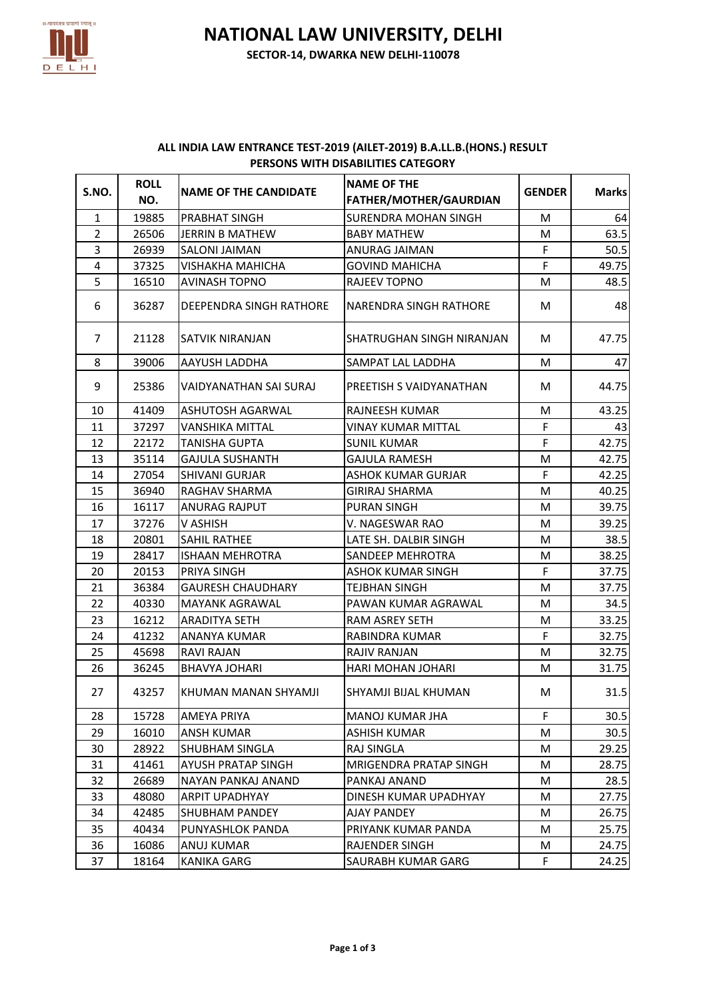

**NATIONAL LAW UNIVERSITY, DELHI**

**SECTOR-14, DWARKA NEW DELHI-110078**

## **ALL INDIA LAW ENTRANCE TEST-2019 (AILET-2019) B.A.LL.B.(HONS.) RESULT PERSONS WITH DISABILITIES CATEGORY**

| S.NO.          | <b>ROLL</b><br>NO. | <b>NAME OF THE CANDIDATE</b> | <b>NAME OF THE</b><br>FATHER/MOTHER/GAURDIAN | <b>GENDER</b> | <b>Marks</b> |
|----------------|--------------------|------------------------------|----------------------------------------------|---------------|--------------|
| $\mathbf{1}$   | 19885              | PRABHAT SINGH                | <b>SURENDRA MOHAN SINGH</b>                  | М             | 64           |
| $\overline{2}$ | 26506              | <b>JERRIN B MATHEW</b>       | <b>BABY MATHEW</b>                           | М             | 63.5         |
| 3              | 26939              | <b>SALONI JAIMAN</b>         | ANURAG JAIMAN                                | F             | 50.5         |
| 4              | 37325              | <b>VISHAKHA MAHICHA</b>      | <b>GOVIND MAHICHA</b>                        | F             | 49.75        |
| 5              | 16510              | <b>AVINASH TOPNO</b>         | RAJEEV TOPNO                                 | М             | 48.5         |
| 6              | 36287              | DEEPENDRA SINGH RATHORE      | NARENDRA SINGH RATHORE                       | M             | 48           |
| $\overline{7}$ | 21128              | SATVIK NIRANJAN              | SHATRUGHAN SINGH NIRANJAN                    | м             | 47.75        |
| 8              | 39006              | AAYUSH LADDHA                | SAMPAT LAL LADDHA                            | M             | 47           |
| 9              | 25386              | VAIDYANATHAN SAI SURAJ       | PREETISH S VAIDYANATHAN                      | М             | 44.75        |
| 10             | 41409              | <b>ASHUTOSH AGARWAL</b>      | RAJNEESH KUMAR                               | M             | 43.25        |
| 11             | 37297              | VANSHIKA MITTAL              | VINAY KUMAR MITTAL                           | F             | 43           |
| 12             | 22172              | TANISHA GUPTA                | <b>SUNIL KUMAR</b>                           | F             | 42.75        |
| 13             | 35114              | <b>GAJULA SUSHANTH</b>       | <b>GAJULA RAMESH</b>                         | М             | 42.75        |
| 14             | 27054              | <b>SHIVANI GURJAR</b>        | ASHOK KUMAR GURJAR                           | F             | 42.25        |
| 15             | 36940              | RAGHAV SHARMA                | <b>GIRIRAJ SHARMA</b>                        | M             | 40.25        |
| 16             | 16117              | <b>ANURAG RAJPUT</b>         | <b>PURAN SINGH</b>                           | М             | 39.75        |
| 17             | 37276              | V ASHISH                     | V. NAGESWAR RAO                              | М             | 39.25        |
| 18             | 20801              | <b>SAHIL RATHEE</b>          | LATE SH. DALBIR SINGH                        | M             | 38.5         |
| 19             | 28417              | <b>ISHAAN MEHROTRA</b>       | SANDEEP MEHROTRA                             | M             | 38.25        |
| 20             | 20153              | PRIYA SINGH                  | <b>ASHOK KUMAR SINGH</b>                     | F             | 37.75        |
| 21             | 36384              | <b>GAURESH CHAUDHARY</b>     | TEJBHAN SINGH                                | M             | 37.75        |
| 22             | 40330              | MAYANK AGRAWAL               | PAWAN KUMAR AGRAWAL                          | М             | 34.5         |
| 23             | 16212              | ARADITYA SETH                | RAM ASREY SETH                               | м             | 33.25        |
| 24             | 41232              | ANANYA KUMAR                 | RABINDRA KUMAR                               | F             | 32.75        |
| 25             | 45698              | <b>RAVI RAJAN</b>            | <b>RAJIV RANJAN</b>                          | М             | 32.75        |
| 26             | 36245              | BHAVYA JOHARI                | HARI MOHAN JOHARI                            | M             | 31.75        |
| 27             | 43257              | KHUMAN MANAN SHYAMJI         | SHYAMJI BIJAL KHUMAN                         | М             | 31.5         |
| 28             | 15728              | AMEYA PRIYA                  | MANOJ KUMAR JHA                              | F             | 30.5         |
| 29             | 16010              | ANSH KUMAR                   | <b>ASHISH KUMAR</b>                          | М             | 30.5         |
| 30             | 28922              | SHUBHAM SINGLA               | RAJ SINGLA                                   | М             | 29.25        |
| 31             | 41461              | AYUSH PRATAP SINGH           | MRIGENDRA PRATAP SINGH                       | M             | 28.75        |
| 32             | 26689              | NAYAN PANKAJ ANAND           | PANKAJ ANAND                                 | м             | 28.5         |
| 33             | 48080              | ARPIT UPADHYAY               | DINESH KUMAR UPADHYAY                        | M             | 27.75        |
| 34             | 42485              | SHUBHAM PANDEY               | <b>AJAY PANDEY</b>                           | М             | 26.75        |
| 35             | 40434              | PUNYASHLOK PANDA             | PRIYANK KUMAR PANDA                          | M             | 25.75        |
| 36             | 16086              | ANUJ KUMAR                   | RAJENDER SINGH                               | М             | 24.75        |
| 37             | 18164              | <b>KANIKA GARG</b>           | SAURABH KUMAR GARG                           | F             | 24.25        |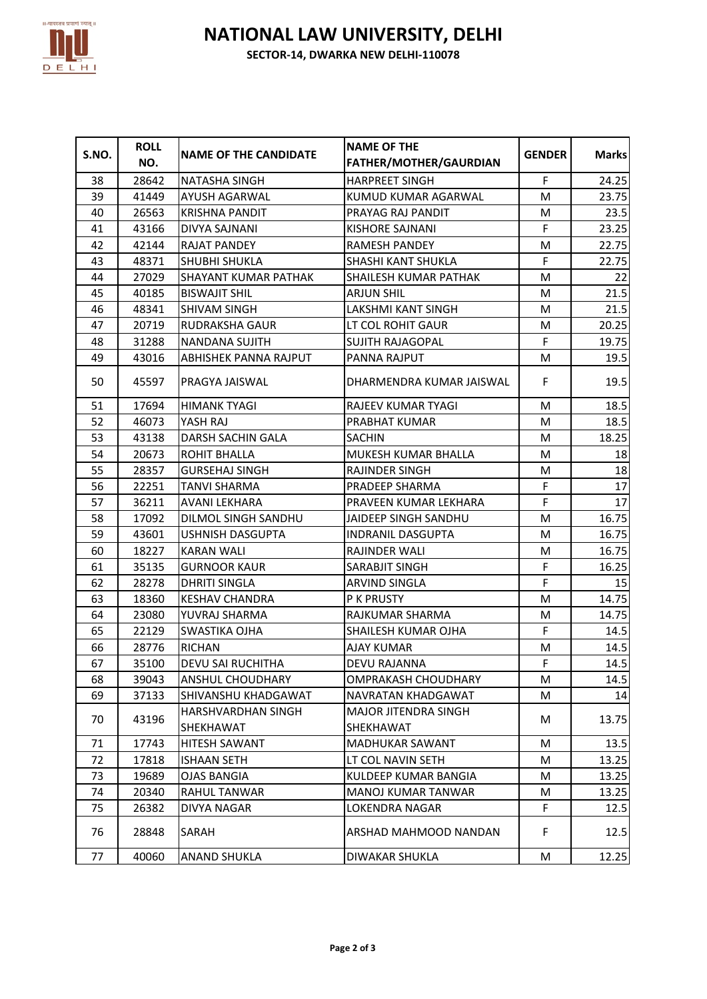

## **NATIONAL LAW UNIVERSITY, DELHI**

**SECTOR-14, DWARKA NEW DELHI-110078**

| S.NO. | <b>ROLL</b><br>NO. | <b>NAME OF THE CANDIDATE</b>           | <b>NAME OF THE</b><br>FATHER/MOTHER/GAURDIAN | <b>GENDER</b> | <b>Marks</b> |
|-------|--------------------|----------------------------------------|----------------------------------------------|---------------|--------------|
| 38    | 28642              | <b>NATASHA SINGH</b>                   | <b>HARPREET SINGH</b>                        | F             | 24.25        |
| 39    | 41449              | AYUSH AGARWAL                          | KUMUD KUMAR AGARWAL                          | M             | 23.75        |
| 40    | 26563              | <b>KRISHNA PANDIT</b>                  | PRAYAG RAJ PANDIT                            | M             | 23.5         |
| 41    | 43166              | DIVYA SAJNANI                          | <b>KISHORE SAJNANI</b>                       | F             | 23.25        |
| 42    | 42144              | <b>RAJAT PANDEY</b>                    | <b>RAMESH PANDEY</b>                         | M             | 22.75        |
| 43    | 48371              | <b>SHUBHI SHUKLA</b>                   | <b>SHASHI KANT SHUKLA</b>                    | F             | 22.75        |
| 44    | 27029              | <b>SHAYANT KUMAR PATHAK</b>            | SHAILESH KUMAR PATHAK                        | M             | 22           |
| 45    | 40185              | <b>BISWAJIT SHIL</b>                   | <b>ARJUN SHIL</b>                            | M             | 21.5         |
| 46    | 48341              | <b>SHIVAM SINGH</b>                    | LAKSHMI KANT SINGH                           | М             | 21.5         |
| 47    | 20719              | <b>RUDRAKSHA GAUR</b>                  | LT COL ROHIT GAUR                            | M             | 20.25        |
| 48    | 31288              | NANDANA SUJITH                         | SUJITH RAJAGOPAL                             | F             | 19.75        |
| 49    | 43016              | ABHISHEK PANNA RAJPUT                  | PANNA RAJPUT                                 | M             | 19.5         |
| 50    | 45597              | PRAGYA JAISWAL                         | DHARMENDRA KUMAR JAISWAL                     | F             | 19.5         |
| 51    | 17694              | <b>HIMANK TYAGI</b>                    | RAJEEV KUMAR TYAGI                           | M             | 18.5         |
| 52    | 46073              | YASH RAJ                               | PRABHAT KUMAR                                | M             | 18.5         |
| 53    | 43138              | DARSH SACHIN GALA                      | <b>SACHIN</b>                                | М             | 18.25        |
| 54    | 20673              | ROHIT BHALLA                           | MUKESH KUMAR BHALLA                          | М             | 18           |
| 55    | 28357              | <b>GURSEHAJ SINGH</b>                  | <b>RAJINDER SINGH</b>                        | М             | 18           |
| 56    | 22251              | <b>TANVI SHARMA</b>                    | PRADEEP SHARMA                               | F             | 17           |
| 57    | 36211              | AVANI LEKHARA                          | PRAVEEN KUMAR LEKHARA                        | F             | 17           |
| 58    | 17092              | DILMOL SINGH SANDHU                    | JAIDEEP SINGH SANDHU                         | M             | 16.75        |
| 59    | 43601              | <b>USHNISH DASGUPTA</b>                | <b>INDRANIL DASGUPTA</b>                     | M             | 16.75        |
| 60    | 18227              | <b>KARAN WALI</b>                      | RAJINDER WALI                                | М             | 16.75        |
| 61    | 35135              | <b>GURNOOR KAUR</b>                    | SARABJIT SINGH                               | F             | 16.25        |
| 62    | 28278              | <b>DHRITI SINGLA</b>                   | <b>ARVIND SINGLA</b>                         | F             | 15           |
| 63    | 18360              | <b>KESHAV CHANDRA</b>                  | <b>P K PRUSTY</b>                            | M             | 14.75        |
| 64    | 23080              | YUVRAJ SHARMA                          | RAJKUMAR SHARMA                              | М             | 14.75        |
| 65    | 22129              | <b>SWASTIKA OJHA</b>                   | <b>SHAILESH KUMAR OJHA</b>                   | F             | 14.5         |
| 66    | 28776              | <b>RICHAN</b>                          | <b>AJAY KUMAR</b>                            | M             | 14.5         |
| 67    | 35100              | <b>DEVU SAI RUCHITHA</b>               | DEVU RAJANNA                                 | F             | 14.5         |
| 68    | 39043              | <b>ANSHUL CHOUDHARY</b>                | OMPRAKASH CHOUDHARY                          | м             | 14.5         |
| 69    | 37133              | SHIVANSHU KHADGAWAT                    | NAVRATAN KHADGAWAT                           | М             | 14           |
| 70    | 43196              | <b>HARSHVARDHAN SINGH</b><br>SHEKHAWAT | MAJOR JITENDRA SINGH<br><b>SHEKHAWAT</b>     | М             | 13.75        |
| 71    | 17743              | <b>HITESH SAWANT</b>                   | <b>MADHUKAR SAWANT</b>                       | м             | 13.5         |
| 72    | 17818              | <b>ISHAAN SETH</b>                     | LT COL NAVIN SETH                            | M             | 13.25        |
| 73    | 19689              | OJAS BANGIA                            | KULDEEP KUMAR BANGIA                         | М             | 13.25        |
| 74    | 20340              | RAHUL TANWAR                           | MANOJ KUMAR TANWAR                           | М             | 13.25        |
| 75    | 26382              | DIVYA NAGAR                            | LOKENDRA NAGAR                               | F             | 12.5         |
| 76    | 28848              | SARAH                                  | ARSHAD MAHMOOD NANDAN                        | F             | 12.5         |
| 77    | 40060              | <b>ANAND SHUKLA</b>                    | DIWAKAR SHUKLA                               | M             | 12.25        |